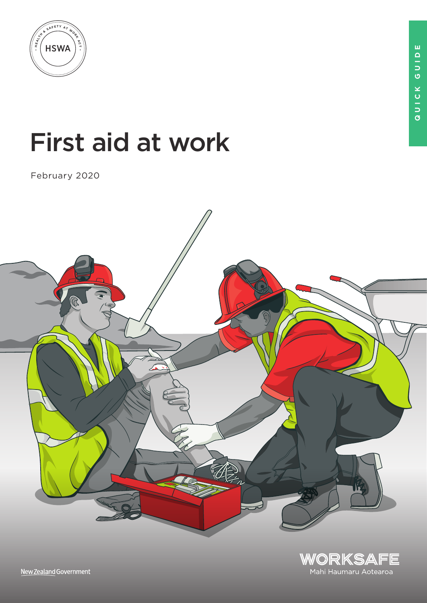

# First aid at work

February 2020





New Zealand Government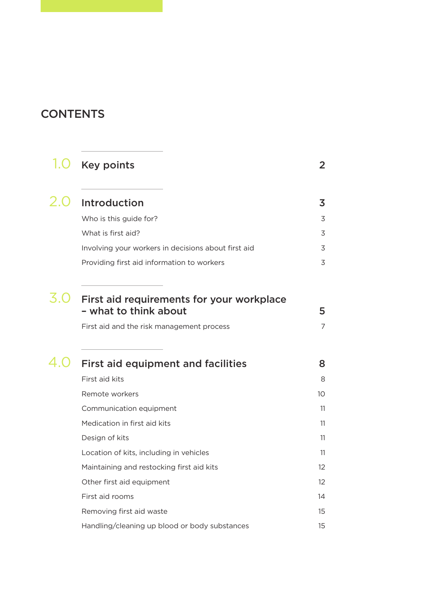### **CONTENTS**

| 1.0 | <b>Key points</b>                                                  | $\overline{2}$           |
|-----|--------------------------------------------------------------------|--------------------------|
|     | 2.0 Introduction                                                   | $\overline{3}$           |
|     | Who is this guide for?                                             | 3                        |
|     | What is first aid?                                                 | 3                        |
|     | Involving your workers in decisions about first aid                | 3                        |
|     | Providing first aid information to workers                         | $\overline{\mathcal{S}}$ |
| 3.O | First aid requirements for your workplace<br>- what to think about | 5                        |
|     | First aid and the risk management process                          | $\overline{7}$           |
|     | $4.0$ First aid equipment and facilities                           | 8                        |
|     | First aid kits                                                     | 8                        |
|     | Remote workers                                                     | 10 <sup>°</sup>          |
|     | Communication equipment                                            | 11                       |
|     | Medication in first aid kits                                       | 11                       |
|     | Design of kits                                                     | 11                       |
|     | Location of kits, including in vehicles                            | 11                       |
|     | Maintaining and restocking first aid kits                          | 12                       |
|     | Other first aid equipment                                          | 12                       |
|     | First aid rooms                                                    | 14                       |
|     | Removing first aid waste                                           | 15                       |
|     | Handling/cleaning up blood or body substances                      | 15                       |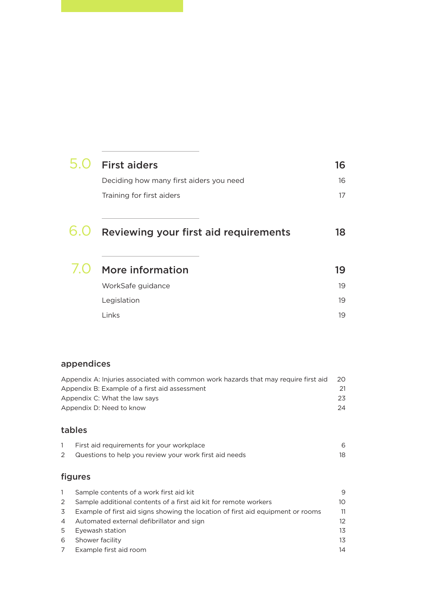|     | <b>First aiders</b>                          | 16 |
|-----|----------------------------------------------|----|
|     | Deciding how many first aiders you need      | 16 |
|     | Training for first aiders                    | 17 |
| 0.U | <b>Reviewing your first aid requirements</b> | 18 |
|     | More information                             | 19 |
|     | WorkSafe guidance                            | 19 |
|     | Legislation                                  | 19 |
|     | Links                                        | 19 |
|     |                                              |    |

### appendices

|              | Appendix A: Injuries associated with common work hazards that may require first aid | 20 |
|--------------|-------------------------------------------------------------------------------------|----|
|              | Appendix B: Example of a first aid assessment                                       | 21 |
|              | Appendix C: What the law says                                                       | 23 |
|              | Appendix D: Need to know                                                            | 24 |
|              |                                                                                     |    |
|              | tables                                                                              |    |
| $\mathbf{1}$ | First aid requirements for your workplace                                           | 6  |
| 2            | Questions to help you review your work first aid needs                              | 18 |

### figures

|                | Sample contents of a work first aid kit                                         | 9  |
|----------------|---------------------------------------------------------------------------------|----|
| 2              | Sample additional contents of a first aid kit for remote workers                | 10 |
| 3              | Example of first aid signs showing the location of first aid equipment or rooms | 11 |
| $\overline{4}$ | Automated external defibrillator and sign                                       | 12 |
| 5              | Eyewash station                                                                 | 13 |
| 6              | Shower facility                                                                 | 13 |
| 7              | Example first aid room                                                          | 14 |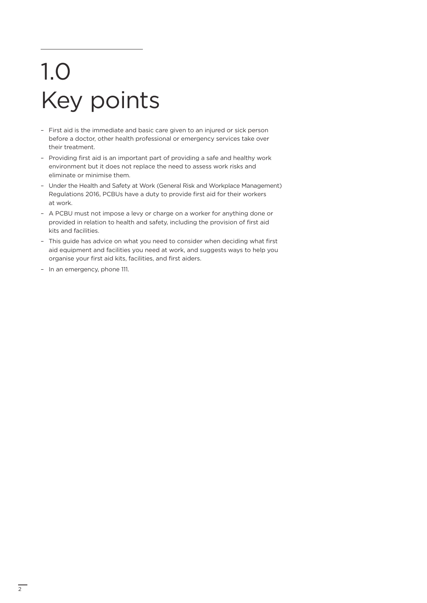# 1.0 Key points

- First aid is the immediate and basic care given to an injured or sick person before a doctor, other health professional or emergency services take over their treatment.
- Providing first aid is an important part of providing a safe and healthy work environment but it does not replace the need to assess work risks and eliminate or minimise them.
- Under the Health and Safety at Work (General Risk and Workplace Management) Regulations 2016, PCBUs have a duty to provide first aid for their workers at work.
- A PCBU must not impose a levy or charge on a worker for anything done or provided in relation to health and safety, including the provision of first aid kits and facilities.
- This guide has advice on what you need to consider when deciding what first aid equipment and facilities you need at work, and suggests ways to help you organise your first aid kits, facilities, and first aiders.
- In an emergency, phone 111.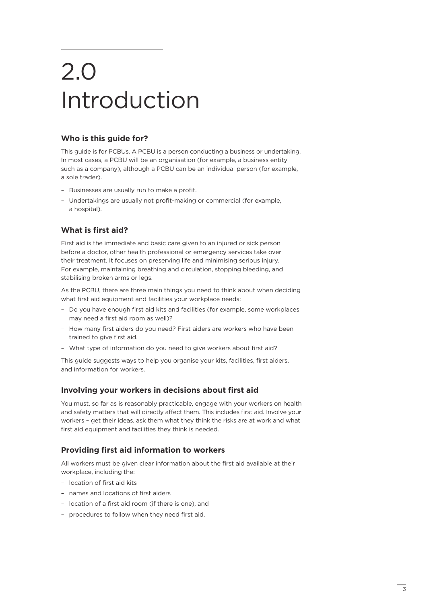### 2.0 Introduction

#### **Who is this guide for?**

This guide is for PCBUs. A PCBU is a person conducting a business or undertaking. In most cases, a PCBU will be an organisation (for example, a business entity such as a company), although a PCBU can be an individual person (for example, a sole trader).

- Businesses are usually run to make a profit.
- Undertakings are usually not profit-making or commercial (for example, a hospital).

#### **What is first aid?**

First aid is the immediate and basic care given to an injured or sick person before a doctor, other health professional or emergency services take over their treatment. It focuses on preserving life and minimising serious injury. For example, maintaining breathing and circulation, stopping bleeding, and stabilising broken arms or legs.

As the PCBU, there are three main things you need to think about when deciding what first aid equipment and facilities your workplace needs:

- Do you have enough first aid kits and facilities (for example, some workplaces may need a first aid room as well)?
- How many first aiders do you need? First aiders are workers who have been trained to give first aid.
- What type of information do you need to give workers about first aid?

This guide suggests ways to help you organise your kits, facilities, first aiders, and information for workers.

#### **Involving your workers in decisions about first aid**

You must, so far as is reasonably practicable, engage with your workers on health and safety matters that will directly affect them. This includes first aid. Involve your workers – get their ideas, ask them what they think the risks are at work and what first aid equipment and facilities they think is needed.

#### **Providing first aid information to workers**

All workers must be given clear information about the first aid available at their workplace, including the:

- location of first aid kits
- names and locations of first aiders
- location of a first aid room (if there is one), and
- procedures to follow when they need first aid.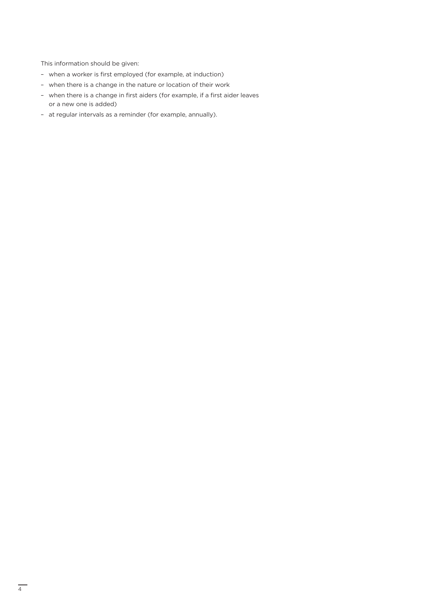This information should be given:

- when a worker is first employed (for example, at induction)
- when there is a change in the nature or location of their work
- when there is a change in first aiders (for example, if a first aider leaves or a new one is added)
- at regular intervals as a reminder (for example, annually).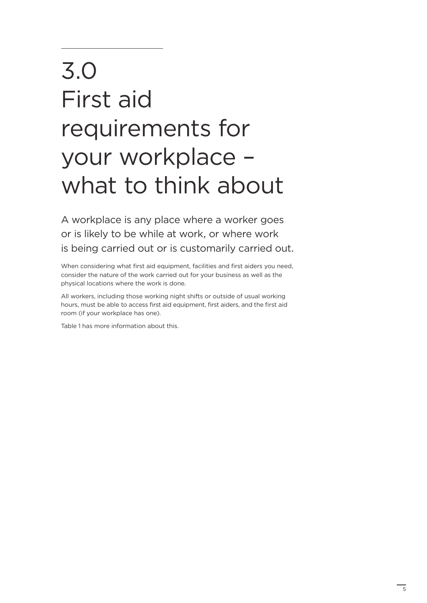## 3.0 First aid requirements for your workplace – what to think about

A workplace is any place where a worker goes or is likely to be while at work, or where work is being carried out or is customarily carried out.

When considering what first aid equipment, facilities and first aiders you need, consider the nature of the work carried out for your business as well as the physical locations where the work is done.

All workers, including those working night shifts or outside of usual working hours, must be able to access first aid equipment, first aiders, and the first aid room (if your workplace has one).

Table 1 has more information about this.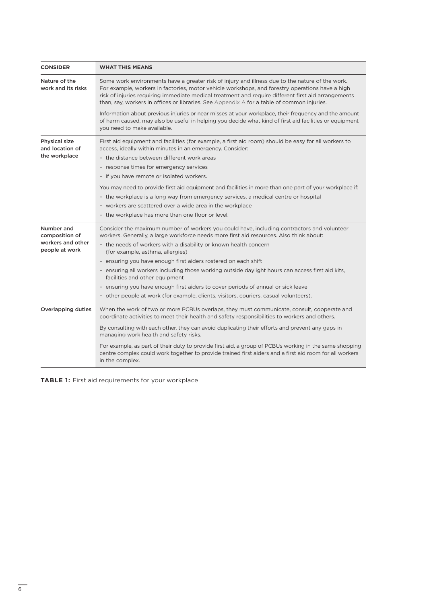| <b>CONSIDER</b>                                                     | <b>WHAT THIS MEANS</b>                                                                                                                                                                                                                                                                                                                                                                                                                                                                                                                                                                                                                                                             |
|---------------------------------------------------------------------|------------------------------------------------------------------------------------------------------------------------------------------------------------------------------------------------------------------------------------------------------------------------------------------------------------------------------------------------------------------------------------------------------------------------------------------------------------------------------------------------------------------------------------------------------------------------------------------------------------------------------------------------------------------------------------|
| Nature of the<br>work and its risks                                 | Some work environments have a greater risk of injury and illness due to the nature of the work.<br>For example, workers in factories, motor vehicle workshops, and forestry operations have a high<br>risk of injuries requiring immediate medical treatment and require different first aid arrangements<br>than, say, workers in offices or libraries. See Appendix A for a table of common injuries.                                                                                                                                                                                                                                                                            |
|                                                                     | Information about previous injuries or near misses at your workplace, their frequency and the amount<br>of harm caused, may also be useful in helping you decide what kind of first aid facilities or equipment<br>you need to make available.                                                                                                                                                                                                                                                                                                                                                                                                                                     |
| Physical size<br>and location of<br>the workplace                   | First aid equipment and facilities (for example, a first aid room) should be easy for all workers to<br>access, ideally within minutes in an emergency. Consider:<br>- the distance between different work areas<br>- response times for emergency services<br>- if you have remote or isolated workers.<br>You may need to provide first aid equipment and facilities in more than one part of your workplace if:<br>- the workplace is a long way from emergency services, a medical centre or hospital<br>- workers are scattered over a wide area in the workplace<br>- the workplace has more than one floor or level.                                                        |
| Number and<br>composition of<br>workers and other<br>people at work | Consider the maximum number of workers you could have, including contractors and volunteer<br>workers. Generally, a large workforce needs more first aid resources. Also think about:<br>- the needs of workers with a disability or known health concern<br>(for example, asthma, allergies)<br>- ensuring you have enough first aiders rostered on each shift<br>- ensuring all workers including those working outside daylight hours can access first aid kits,<br>facilities and other equipment<br>- ensuring you have enough first aiders to cover periods of annual or sick leave<br>- other people at work (for example, clients, visitors, couriers, casual volunteers). |
| Overlapping duties                                                  | When the work of two or more PCBUs overlaps, they must communicate, consult, cooperate and<br>coordinate activities to meet their health and safety responsibilities to workers and others.<br>By consulting with each other, they can avoid duplicating their efforts and prevent any gaps in<br>managing work health and safety risks.<br>For example, as part of their duty to provide first aid, a group of PCBUs working in the same shopping<br>centre complex could work together to provide trained first aiders and a first aid room for all workers<br>in the complex.                                                                                                   |

**TABLE 1:** First aid requirements for your workplace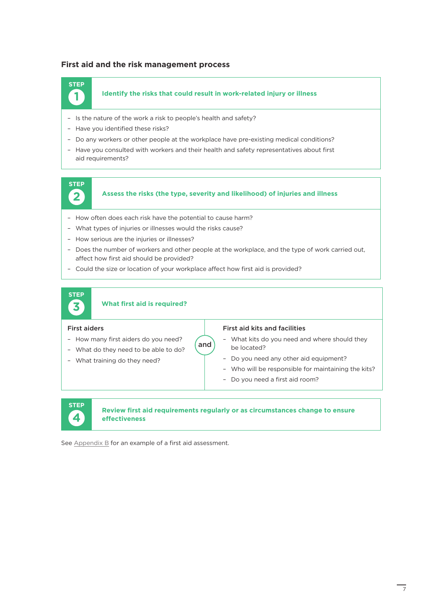#### **First aid and the risk management process**

### **1 STEP**

#### **Identify the risks that could result in work-related injury or illness**

- Is the nature of the work a risk to people's health and safety?
- Have you identified these risks?
- Do any workers or other people at the workplace have pre-existing medical conditions?
- Have you consulted with workers and their health and safety representatives about first aid requirements?



**Assess the risks (the type, severity and likelihood) of injuries and illness**

- How often does each risk have the potential to cause harm?
- What types of injuries or illnesses would the risks cause?
- How serious are the injuries or illnesses?
- Does the number of workers and other people at the workplace, and the type of work carried out, affect how first aid should be provided?

and

– Could the size or location of your workplace affect how first aid is provided?



#### **What first aid is required?**

#### First aiders

– How many first aiders do you need? – What do they need to be able to do?

– What training do they need?

- First aid kits and facilities
- What kits do you need and where should they be located?
- Do you need any other aid equipment?
- Who will be responsible for maintaining the kits?
- Do you need a first aid room?



#### **Review first aid requirements regularly or as circumstances change to ensure effectiveness**

See [Appendix B](#page-23-0) for an example of a first aid assessment.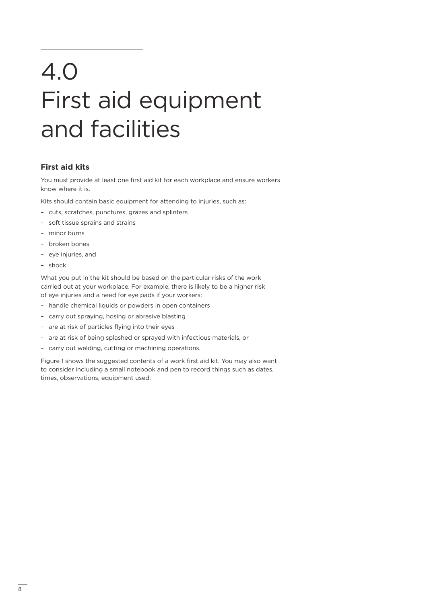## 4.0 First aid equipment and facilities

#### **First aid kits**

You must provide at least one first aid kit for each workplace and ensure workers know where it is.

Kits should contain basic equipment for attending to injuries, such as:

- cuts, scratches, punctures, grazes and splinters
- soft tissue sprains and strains
- minor burns
- broken bones
- eye injuries, and
- shock.

What you put in the kit should be based on the particular risks of the work carried out at your workplace. For example, there is likely to be a higher risk of eye injuries and a need for eye pads if your workers:

- handle chemical liquids or powders in open containers
- carry out spraying, hosing or abrasive blasting
- are at risk of particles flying into their eyes
- are at risk of being splashed or sprayed with infectious materials, or
- carry out welding, cutting or machining operations.

Figure 1 shows the suggested contents of a work first aid kit. You may also want to consider including a small notebook and pen to record things such as dates, times, observations, equipment used.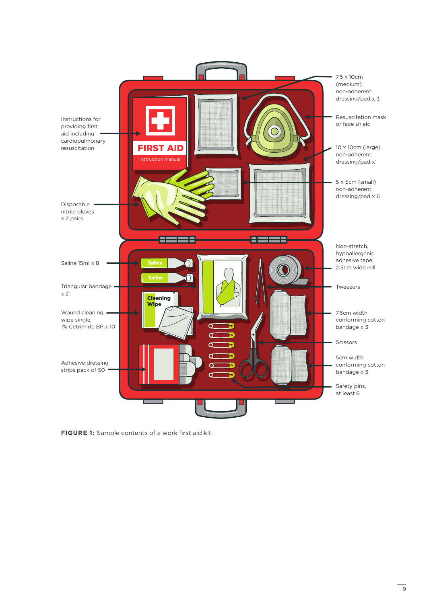

**FIGURE 1:** Sample contents of a work first aid kit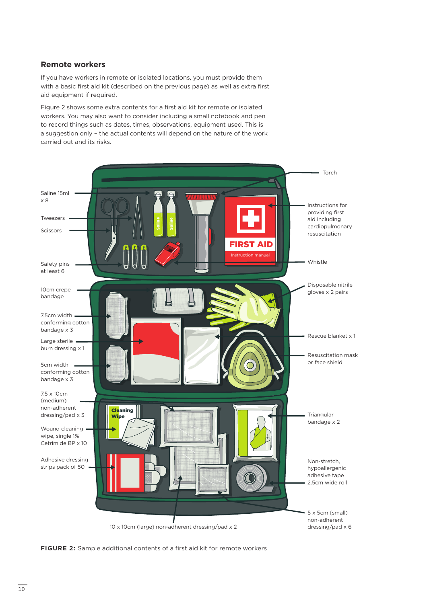#### **Remote workers**

If you have workers in remote or isolated locations, you must provide them with a basic first aid kit (described on the previous page) as well as extra first aid equipment if required.

Figure 2 shows some extra contents for a first aid kit for remote or isolated workers. You may also want to consider including a small notebook and pen to record things such as dates, times, observations, equipment used. This is a suggestion only – the actual contents will depend on the nature of the work carried out and its risks.



**FIGURE 2:** Sample additional contents of a first aid kit for remote workers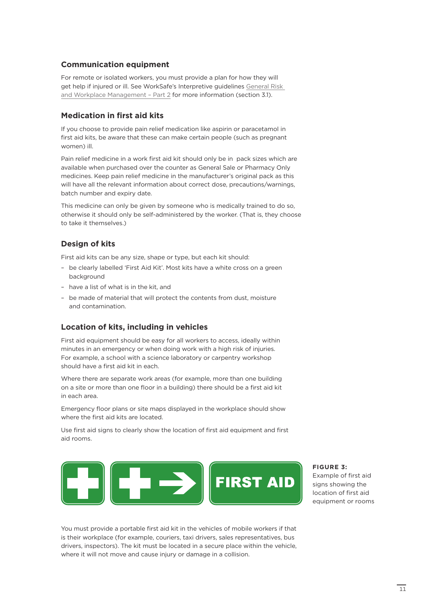#### **Communication equipment**

For remote or isolated workers, you must provide a plan for how they will get help if injured or ill. See WorkSafe's Interpretive guidelines [General Risk](https://worksafe.govt.nz/managing-health-and-safety/businesses/general-requirements-for-workplaces/general-risk-and-workplace-management-part-2/)  [and Workplace Management – Part 2](https://worksafe.govt.nz/managing-health-and-safety/businesses/general-requirements-for-workplaces/general-risk-and-workplace-management-part-2/) for more information (section 3.1).

#### **Medication in first aid kits**

If you choose to provide pain relief medication like aspirin or paracetamol in first aid kits, be aware that these can make certain people (such as pregnant women) ill.

Pain relief medicine in a work first aid kit should only be in pack sizes which are available when purchased over the counter as General Sale or Pharmacy Only medicines. Keep pain relief medicine in the manufacturer's original pack as this will have all the relevant information about correct dose, precautions/warnings, batch number and expiry date.

This medicine can only be given by someone who is medically trained to do so, otherwise it should only be self-administered by the worker. (That is, they choose to take it themselves.)

#### **Design of kits**

First aid kits can be any size, shape or type, but each kit should:

- be clearly labelled 'First Aid Kit'. Most kits have a white cross on a green background
- have a list of what is in the kit, and
- be made of material that will protect the contents from dust, moisture and contamination.

#### **Location of kits, including in vehicles**

First aid equipment should be easy for all workers to access, ideally within minutes in an emergency or when doing work with a high risk of injuries. For example, a school with a science laboratory or carpentry workshop should have a first aid kit in each.

Where there are separate work areas (for example, more than one building on a site or more than one floor in a building) there should be a first aid kit in each area.

Emergency floor plans or site maps displayed in the workplace should show where the first aid kits are located.

Use first aid signs to clearly show the location of first aid equipment and first aid rooms.



**FIGURE 3:**  Example of first aid signs showing the location of first aid equipment or rooms

You must provide a portable first aid kit in the vehicles of mobile workers if that is their workplace (for example, couriers, taxi drivers, sales representatives, bus drivers, inspectors). The kit must be located in a secure place within the vehicle, where it will not move and cause injury or damage in a collision.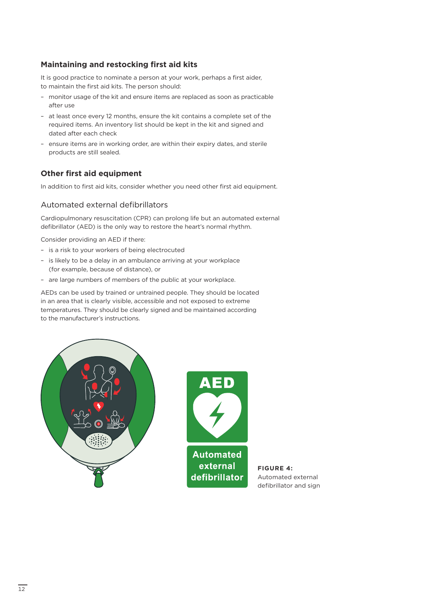#### **Maintaining and restocking first aid kits**

It is good practice to nominate a person at your work, perhaps a first aider, to maintain the first aid kits. The person should:

- monitor usage of the kit and ensure items are replaced as soon as practicable after use
- at least once every 12 months, ensure the kit contains a complete set of the required items. An inventory list should be kept in the kit and signed and dated after each check
- ensure items are in working order, are within their expiry dates, and sterile products are still sealed.

#### **Other first aid equipment**

In addition to first aid kits, consider whether you need other first aid equipment.

#### Automated external defibrillators

Cardiopulmonary resuscitation (CPR) can prolong life but an automated external defibrillator (AED) is the only way to restore the heart's normal rhythm.

Consider providing an AED if there:

- is a risk to your workers of being electrocuted
- is likely to be a delay in an ambulance arriving at your workplace (for example, because of distance), or
- are large numbers of members of the public at your workplace.

AEDs can be used by trained or untrained people. They should be located in an area that is clearly visible, accessible and not exposed to extreme temperatures. They should be clearly signed and be maintained according to the manufacturer's instructions.





**FIGURE 4:** Automated external defibrillator and sign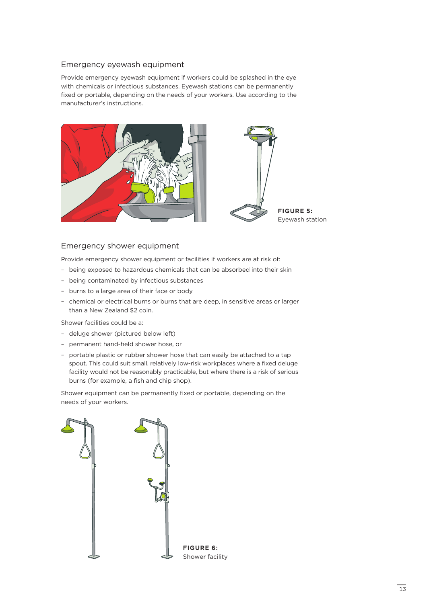#### Emergency eyewash equipment

Provide emergency eyewash equipment if workers could be splashed in the eye with chemicals or infectious substances. Eyewash stations can be permanently fixed or portable, depending on the needs of your workers. Use according to the manufacturer's instructions.



### Eyewash station

#### Emergency shower equipment

Provide emergency shower equipment or facilities if workers are at risk of:

- being exposed to hazardous chemicals that can be absorbed into their skin
- being contaminated by infectious substances
- burns to a large area of their face or body
- chemical or electrical burns or burns that are deep, in sensitive areas or larger than a New Zealand \$2 coin.

Shower facilities could be a:

- deluge shower (pictured below left)
- permanent hand-held shower hose, or
- portable plastic or rubber shower hose that can easily be attached to a tap spout. This could suit small, relatively low-risk workplaces where a fixed deluge facility would not be reasonably practicable, but where there is a risk of serious burns (for example, a fish and chip shop).

Shower equipment can be permanently fixed or portable, depending on the needs of your workers.

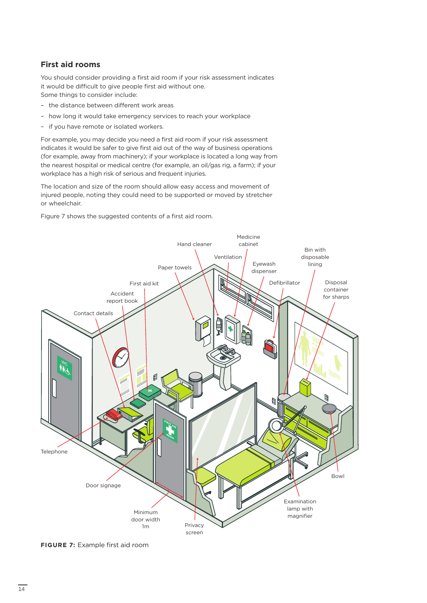#### **First aid rooms**

You should consider providing a first aid room if your risk assessment indicates it would be difficult to give people first aid without one. Some things to consider include:

- the distance between different work areas
- how long it would take emergency services to reach your workplace
- if you have remote or isolated workers.

For example, you may decide you need a first aid room if your risk assessment indicates it would be safer to give first aid out of the way of business operations (for example, away from machinery); if your workplace is located a long way from the nearest hospital or medical centre (for example, an oil/gas rig, a farm); if your workplace has a high risk of serious and frequent injuries.

The location and size of the room should allow easy access and movement of injured people, noting they could need to be supported or moved by stretcher or wheelchair.

Figure 7 shows the suggested contents of a first aid room.



**FIGURE 7:** Example first aid room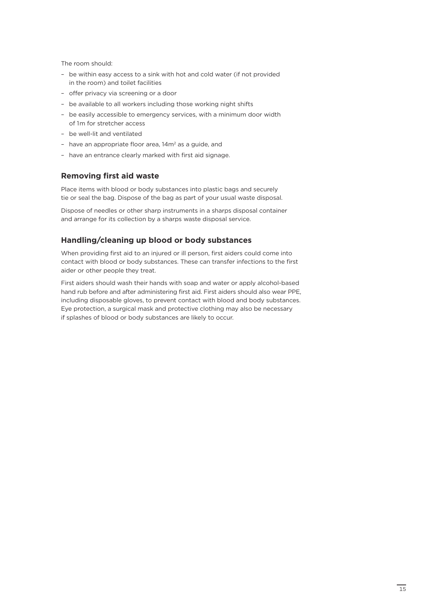The room should:

- be within easy access to a sink with hot and cold water (if not provided in the room) and toilet facilities
- offer privacy via screening or a door
- be available to all workers including those working night shifts
- be easily accessible to emergency services, with a minimum door width of 1m for stretcher access
- be well-lit and ventilated
- have an appropriate floor area, 14m<sup>2</sup> as a guide, and
- have an entrance clearly marked with first aid signage.

#### **Removing first aid waste**

Place items with blood or body substances into plastic bags and securely tie or seal the bag. Dispose of the bag as part of your usual waste disposal.

Dispose of needles or other sharp instruments in a sharps disposal container and arrange for its collection by a sharps waste disposal service.

#### **Handling/cleaning up blood or body substances**

When providing first aid to an injured or ill person, first aiders could come into contact with blood or body substances. These can transfer infections to the first aider or other people they treat.

First aiders should wash their hands with soap and water or apply alcohol-based hand rub before and after administering first aid. First aiders should also wear PPE, including disposable gloves, to prevent contact with blood and body substances. Eye protection, a surgical mask and protective clothing may also be necessary if splashes of blood or body substances are likely to occur.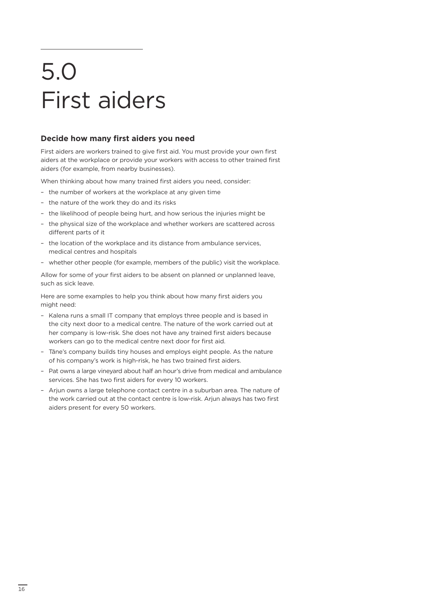## 5.0 First aiders

#### **Decide how many first aiders you need**

First aiders are workers trained to give first aid. You must provide your own first aiders at the workplace or provide your workers with access to other trained first aiders (for example, from nearby businesses).

When thinking about how many trained first aiders you need, consider:

- the number of workers at the workplace at any given time
- the nature of the work they do and its risks
- the likelihood of people being hurt, and how serious the injuries might be
- the physical size of the workplace and whether workers are scattered across different parts of it
- the location of the workplace and its distance from ambulance services, medical centres and hospitals
- whether other people (for example, members of the public) visit the workplace.

Allow for some of your first aiders to be absent on planned or unplanned leave, such as sick leave.

Here are some examples to help you think about how many first aiders you might need:

- Kalena runs a small IT company that employs three people and is based in the city next door to a medical centre. The nature of the work carried out at her company is low-risk. She does not have any trained first aiders because workers can go to the medical centre next door for first aid.
- Tāne's company builds tiny houses and employs eight people. As the nature of his company's work is high-risk, he has two trained first aiders.
- Pat owns a large vineyard about half an hour's drive from medical and ambulance services. She has two first aiders for every 10 workers.
- Arjun owns a large telephone contact centre in a suburban area. The nature of the work carried out at the contact centre is low-risk. Arjun always has two first aiders present for every 50 workers.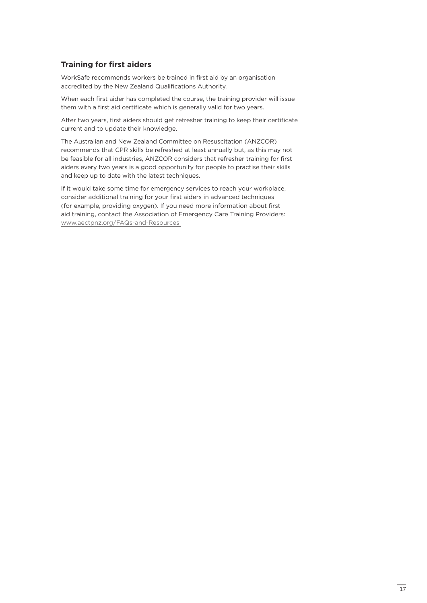#### **Training for first aiders**

WorkSafe recommends workers be trained in first aid by an organisation accredited by the New Zealand Qualifications Authority.

When each first aider has completed the course, the training provider will issue them with a first aid certificate which is generally valid for two years.

After two years, first aiders should get refresher training to keep their certificate current and to update their knowledge.

The Australian and New Zealand Committee on Resuscitation (ANZCOR) recommends that CPR skills be refreshed at least annually but, as this may not be feasible for all industries, ANZCOR considers that refresher training for first aiders every two years is a good opportunity for people to practise their skills and keep up to date with the latest techniques.

If it would take some time for emergency services to reach your workplace, consider additional training for your first aiders in advanced techniques (for example, providing oxygen). If you need more information about first aid training, contact the Association of Emergency Care Training Providers: [www.aectpnz.org/FAQs-and-Resources](http://www.aectpnz.org/FAQs-and-Resources)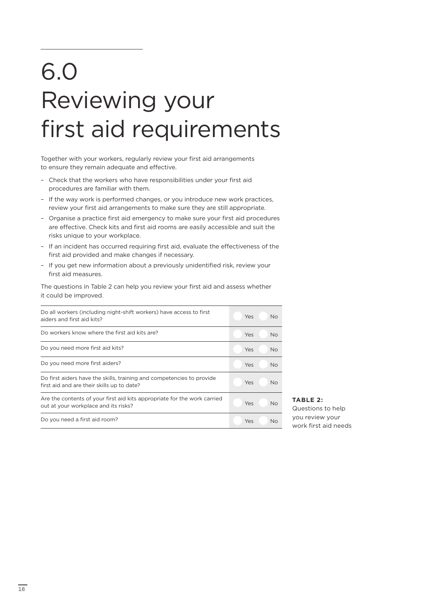### 6.0 Reviewing your first aid requirements

Together with your workers, regularly review your first aid arrangements to ensure they remain adequate and effective.

- Check that the workers who have responsibilities under your first aid procedures are familiar with them.
- If the way work is performed changes, or you introduce new work practices, review your first aid arrangements to make sure they are still appropriate.
- Organise a practice first aid emergency to make sure your first aid procedures are effective. Check kits and first aid rooms are easily accessible and suit the risks unique to your workplace.
- If an incident has occurred requiring first aid, evaluate the effectiveness of the first aid provided and make changes if necessary.
- If you get new information about a previously unidentified risk, review your first aid measures.

The questions in Table 2 can help you review your first aid and assess whether it could be improved.

| Do all workers (including night-shift workers) have access to first<br>aiders and first aid kits?                   | Yes<br><b>No</b> |
|---------------------------------------------------------------------------------------------------------------------|------------------|
| Do workers know where the first aid kits are?                                                                       | Yes<br><b>No</b> |
| Do you need more first aid kits?                                                                                    | Yes<br><b>No</b> |
| Do you need more first aiders?                                                                                      | Yes<br>No.       |
| Do first aiders have the skills, training and competencies to provide<br>first aid and are their skills up to date? | Yes<br><b>No</b> |
| Are the contents of your first aid kits appropriate for the work carried<br>out at your workplace and its risks?    | Yes<br><b>No</b> |
| Do you need a first aid room?                                                                                       | Yes<br><b>No</b> |

#### **TABLE 2:**

Questions to help you review your work first aid needs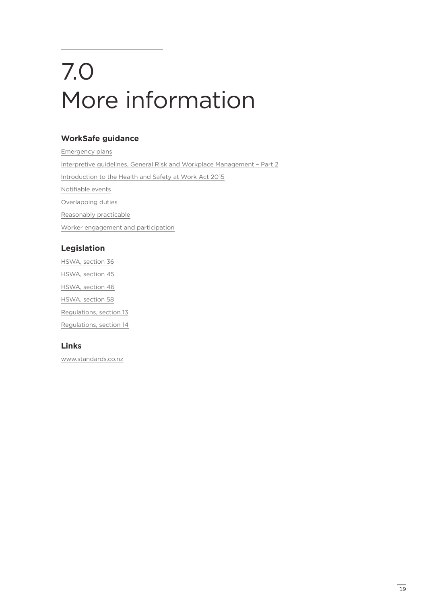# 7.0 More information

#### **WorkSafe guidance**

[Emergency plans](https://worksafe.govt.nz/managing-health-and-safety/businesses/general-requirements-for-workplaces/emergency-plans/) [Interpretive guidelines, General Risk and Workplace Management – Part 2](https://worksafe.govt.nz/managing-health-and-safety/businesses/general-requirements-for-workplaces/general-risk-and-workplace-management-part-2/) [Introduction to the Health and Safety at Work Act 2015](https://worksafe.govt.nz/managing-health-and-safety/getting-started/introduction-hswa-special-guide/) [Notifiable events](https://worksafe.govt.nz/notifications/notifiable-event/what-is-a-notifiable-event/#lf-doc-39637) [Overlapping duties](https://worksafe.govt.nz/managing-health-and-safety/getting-started/understanding-the-law/overlapping-duties/) [Reasonably practicable](https://worksafe.govt.nz/managing-health-and-safety/getting-started/understanding-the-law/primary-duty-of-care/what-is-the-primary-duty-of-care/) [Worker engagement and participation](https://worksafe.govt.nz/managing-health-and-safety/businesses/worker-engagement-and-participation/)

#### **Legislation**

[HSWA, section 36](http://www.legislation.govt.nz/act/public/2015/0070/latest/whole.html#DLM5976895) [HSWA, section 45](http://www.legislation.govt.nz/act/public/2015/0070/latest/whole.html#DLM5976914) [HSWA, section 46](http://www.legislation.govt.nz/act/public/2015/0070/latest/whole.html#DLM5976915) [HSWA, section 58](http://www.legislation.govt.nz/act/public/2015/0070/latest/whole.html#DLM5976956) [Regulations, section 13](http://www.legislation.govt.nz/regulation/public/2016/0013/latest/DLM6727580.html) [Regulations, section 14](http://www.legislation.govt.nz/regulation/public/2016/0013/latest/DLM6727581.html?search=sw_096be8ed816cbecc_emergency_25_se&p=1)

#### **Links**

[www.standards.co.nz](http://www.standards.co.nz/)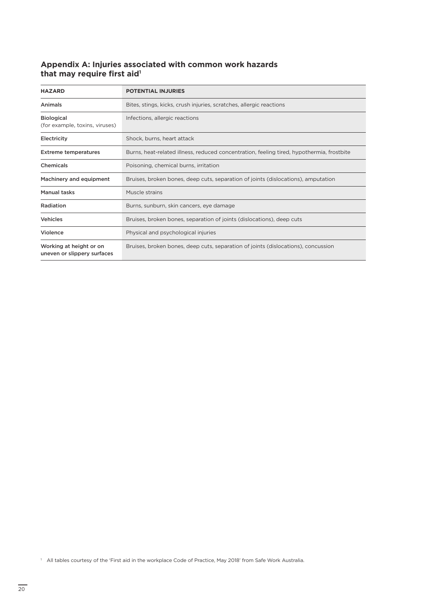#### **Appendix A: Injuries associated with common work hazards**  that may require first aid<sup>1</sup>

| <b>HAZARD</b>                                          | <b>POTENTIAL INJURIES</b>                                                                 |
|--------------------------------------------------------|-------------------------------------------------------------------------------------------|
| Animals                                                | Bites, stings, kicks, crush injuries, scratches, allergic reactions                       |
| <b>Biological</b><br>(for example, toxins, viruses)    | Infections, allergic reactions                                                            |
| Electricity                                            | Shock, burns, heart attack                                                                |
| <b>Extreme temperatures</b>                            | Burns, heat-related illness, reduced concentration, feeling tired, hypothermia, frostbite |
| Chemicals                                              | Poisoning, chemical burns, irritation                                                     |
| Machinery and equipment                                | Bruises, broken bones, deep cuts, separation of joints (dislocations), amputation         |
| Manual tasks                                           | Muscle strains                                                                            |
| Radiation                                              | Burns, sunburn, skin cancers, eye damage                                                  |
| <b>Vehicles</b>                                        | Bruises, broken bones, separation of joints (dislocations), deep cuts                     |
| Violence                                               | Physical and psychological injuries                                                       |
| Working at height or on<br>uneven or slippery surfaces | Bruises, broken bones, deep cuts, separation of joints (dislocations), concussion         |

<sup>1</sup> All tables courtesy of the 'First aid in the workplace Code of Practice, May 2018' from Safe Work Australia.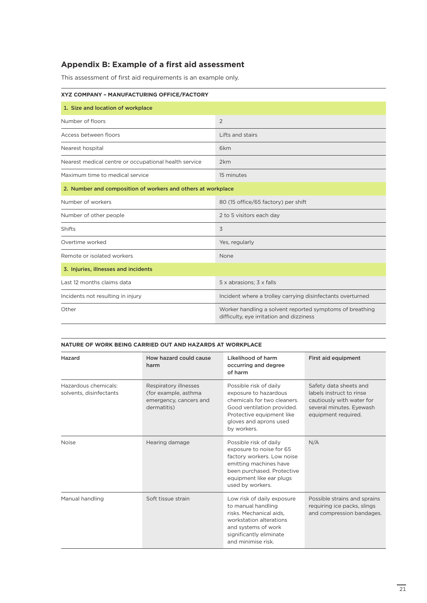#### <span id="page-22-0"></span>**Appendix B: Example of a first aid assessment**

This assessment of first aid requirements is an example only.

| XYZ COMPANY - MANUFACTURING OFFICE/FACTORY                   |                                                                                                      |  |  |
|--------------------------------------------------------------|------------------------------------------------------------------------------------------------------|--|--|
| 1. Size and location of workplace                            |                                                                                                      |  |  |
| Number of floors                                             | 2                                                                                                    |  |  |
| Access between floors                                        | Lifts and stairs                                                                                     |  |  |
| Nearest hospital                                             | 6 <sub>km</sub>                                                                                      |  |  |
| Nearest medical centre or occupational health service        | 2km                                                                                                  |  |  |
| Maximum time to medical service                              | 15 minutes                                                                                           |  |  |
| 2. Number and composition of workers and others at workplace |                                                                                                      |  |  |
| Number of workers                                            | 80 (15 office/65 factory) per shift                                                                  |  |  |
| Number of other people                                       | 2 to 5 visitors each day                                                                             |  |  |
| <b>Shifts</b>                                                | 3                                                                                                    |  |  |
| Overtime worked                                              | Yes, regularly                                                                                       |  |  |
| Remote or isolated workers                                   | None                                                                                                 |  |  |
| 3. Injuries, illnesses and incidents                         |                                                                                                      |  |  |
| Last 12 months claims data                                   | 5 x abrasions; 3 x falls                                                                             |  |  |
| Incidents not resulting in injury                            | Incident where a trolley carrying disinfectants overturned                                           |  |  |
| Other                                                        | Worker handling a solvent reported symptoms of breathing<br>difficulty, eye irritation and dizziness |  |  |

#### **NATURE OF WORK BEING CARRIED OUT AND HAZARDS AT WORKPLACE**

| Hazard                                          | How hazard could cause<br>harm                                                         | Likelihood of harm<br>occurring and degree<br>of harm                                                                                                                                    | First aid equipment                                                                                                                |
|-------------------------------------------------|----------------------------------------------------------------------------------------|------------------------------------------------------------------------------------------------------------------------------------------------------------------------------------------|------------------------------------------------------------------------------------------------------------------------------------|
| Hazardous chemicals:<br>solvents, disinfectants | Respiratory illnesses<br>(for example, asthma<br>emergency, cancers and<br>dermatitis) | Possible risk of daily<br>exposure to hazardous<br>chemicals for two cleaners.<br>Good ventilation provided.<br>Protective equipment like<br>gloves and aprons used<br>by workers.       | Safety data sheets and<br>labels instruct to rinse<br>cautiously with water for<br>several minutes. Eyewash<br>equipment required. |
| <b>Noise</b>                                    | Hearing damage                                                                         | Possible risk of daily<br>exposure to noise for 65<br>factory workers. Low noise<br>emitting machines have<br>been purchased. Protective<br>equipment like ear plugs<br>used by workers. | N/A                                                                                                                                |
| Manual handling                                 | Soft tissue strain                                                                     | Low risk of daily exposure<br>to manual handling<br>risks. Mechanical aids,<br>workstation alterations<br>and systems of work<br>significantly eliminate<br>and minimise risk.           | Possible strains and sprains<br>requiring ice packs, slings<br>and compression bandages.                                           |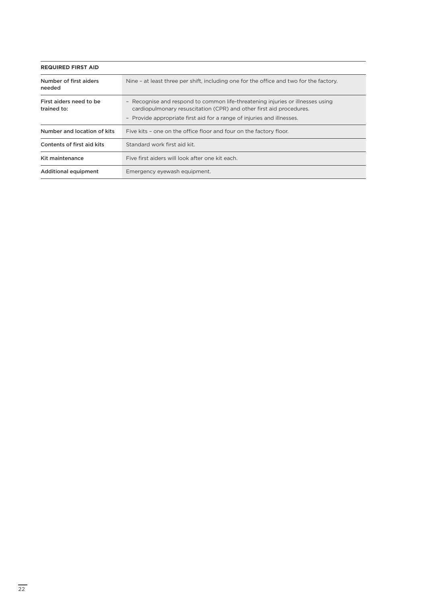<span id="page-23-0"></span>

| <b>REQUIRED FIRST AID</b>              |                                                                                                                                                                                                                                 |  |  |
|----------------------------------------|---------------------------------------------------------------------------------------------------------------------------------------------------------------------------------------------------------------------------------|--|--|
| Number of first aiders<br>needed       | Nine - at least three per shift, including one for the office and two for the factory.                                                                                                                                          |  |  |
| First aiders need to be<br>trained to: | - Recognise and respond to common life-threatening injuries or illnesses using<br>cardiopulmonary resuscitation (CPR) and other first aid procedures.<br>- Provide appropriate first aid for a range of injuries and illnesses. |  |  |
| Number and location of kits            | Five kits - one on the office floor and four on the factory floor.                                                                                                                                                              |  |  |
| Contents of first aid kits             | Standard work first aid kit.                                                                                                                                                                                                    |  |  |
| Kit maintenance                        | Five first aiders will look after one kit each.                                                                                                                                                                                 |  |  |
| <b>Additional equipment</b>            | Emergency eyewash equipment.                                                                                                                                                                                                    |  |  |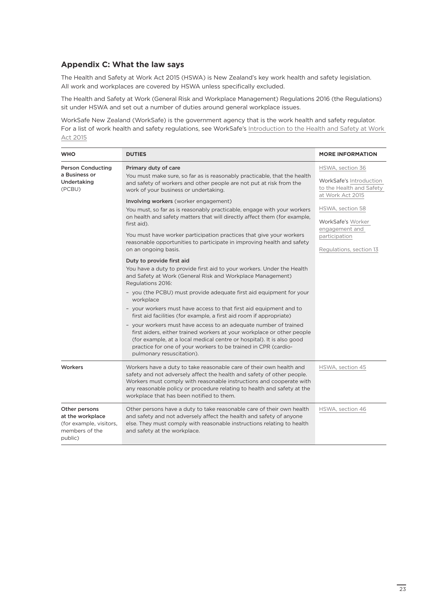#### **Appendix C: What the law says**

The Health and Safety at Work Act 2015 (HSWA) is New Zealand's key work health and safety legislation. All work and workplaces are covered by HSWA unless specifically excluded.

The Health and Safety at Work (General Risk and Workplace Management) Regulations 2016 (the Regulations) sit under HSWA and set out a number of duties around general workplace issues.

WorkSafe New Zealand (WorkSafe) is the government agency that is the work health and safety regulator. For a list of work health and safety regulations, see WorkSafe's [Introduction to the Health and Safety at Work](https://worksafe.govt.nz/managing-health-and-safety/getting-started/introduction-hswa-special-guide/)  [Act 2015](https://worksafe.govt.nz/managing-health-and-safety/getting-started/introduction-hswa-special-guide/)

| <b>WHO</b>                                                                                | <b>DUTIES</b>                                                                                                                                                                                                                                                                                                                                                                                                                                                                                                                                                                                                                                                                                                                                                         | <b>MORE INFORMATION</b>                                                                     |
|-------------------------------------------------------------------------------------------|-----------------------------------------------------------------------------------------------------------------------------------------------------------------------------------------------------------------------------------------------------------------------------------------------------------------------------------------------------------------------------------------------------------------------------------------------------------------------------------------------------------------------------------------------------------------------------------------------------------------------------------------------------------------------------------------------------------------------------------------------------------------------|---------------------------------------------------------------------------------------------|
| <b>Person Conducting</b><br>a Business or<br>Undertaking<br>(PCBU)                        | Primary duty of care<br>You must make sure, so far as is reasonably practicable, that the health<br>and safety of workers and other people are not put at risk from the<br>work of your business or undertaking.<br>Involving workers (worker engagement)                                                                                                                                                                                                                                                                                                                                                                                                                                                                                                             | HSWA, section 36<br>WorkSafe's Introduction<br>to the Health and Safety<br>at Work Act 2015 |
|                                                                                           | You must, so far as is reasonably practicable, engage with your workers<br>on health and safety matters that will directly affect them (for example,<br>first aid).<br>You must have worker participation practices that give your workers<br>reasonable opportunities to participate in improving health and safety                                                                                                                                                                                                                                                                                                                                                                                                                                                  | HSWA, section 58<br>WorkSafe's Worker<br>engagement and<br>participation                    |
|                                                                                           | on an ongoing basis.<br>Duty to provide first aid<br>You have a duty to provide first aid to your workers. Under the Health<br>and Safety at Work (General Risk and Workplace Management)<br>Regulations 2016:<br>- you (the PCBU) must provide adequate first aid equipment for your<br>workplace<br>- your workers must have access to that first aid equipment and to<br>first aid facilities (for example, a first aid room if appropriate)<br>- your workers must have access to an adequate number of trained<br>first aiders, either trained workers at your workplace or other people<br>(for example, at a local medical centre or hospital). It is also good<br>practice for one of your workers to be trained in CPR (cardio-<br>pulmonary resuscitation). | Regulations, section 13                                                                     |
| Workers                                                                                   | Workers have a duty to take reasonable care of their own health and<br>safety and not adversely affect the health and safety of other people.<br>Workers must comply with reasonable instructions and cooperate with<br>any reasonable policy or procedure relating to health and safety at the<br>workplace that has been notified to them.                                                                                                                                                                                                                                                                                                                                                                                                                          | HSWA, section 45                                                                            |
| Other persons<br>at the workplace<br>(for example, visitors,<br>members of the<br>public) | Other persons have a duty to take reasonable care of their own health<br>and safety and not adversely affect the health and safety of anyone<br>else. They must comply with reasonable instructions relating to health<br>and safety at the workplace.                                                                                                                                                                                                                                                                                                                                                                                                                                                                                                                | HSWA, section 46                                                                            |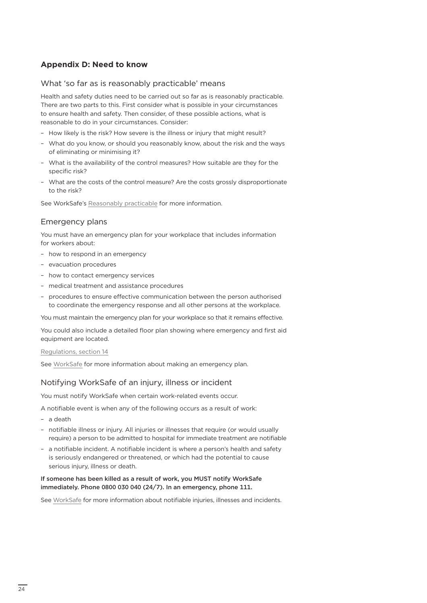#### **Appendix D: Need to know**

#### What 'so far as is reasonably practicable' means

Health and safety duties need to be carried out so far as is reasonably practicable. There are two parts to this. First consider what is possible in your circumstances to ensure health and safety. Then consider, of these possible actions, what is reasonable to do in your circumstances. Consider:

- How likely is the risk? How severe is the illness or injury that might result?
- What do you know, or should you reasonably know, about the risk and the ways of eliminating or minimising it?
- What is the availability of the control measures? How suitable are they for the specific risk?
- What are the costs of the control measure? Are the costs grossly disproportionate to the risk?

See WorkSafe's [Reasonably practicable](https://worksafe.govt.nz/managing-health-and-safety/getting-started/understanding-the-law/primary-duty-of-care/what-is-the-primary-duty-of-care/) for more information.

#### Emergency plans

You must have an emergency plan for your workplace that includes information for workers about:

- how to respond in an emergency
- evacuation procedures
- how to contact emergency services
- medical treatment and assistance procedures
- procedures to ensure effective communication between the person authorised to coordinate the emergency response and all other persons at the workplace.

You must maintain the emergency plan for your workplace so that it remains effective.

You could also include a detailed floor plan showing where emergency and first aid equipment are located.

#### [Regulations, section 14](http://www.legislation.govt.nz/regulation/public/2016/0013/latest/DLM6727581.html?search=sw_096be8ed816cbecc_emergency_25_se&p=1)

See [WorkSafe](https://worksafe.govt.nz/managing-health-and-safety/businesses/general-requirements-for-workplaces/emergency-plans/) for more information about making an emergency plan.

#### Notifying WorkSafe of an injury, illness or incident

You must notify WorkSafe when certain work-related events occur.

A notifiable event is when any of the following occurs as a result of work:

- a death
- notifiable illness or injury. All injuries or illnesses that require (or would usually require) a person to be admitted to hospital for immediate treatment are notifiable
- a notifiable incident. A notifiable incident is where a person's health and safety is seriously endangered or threatened, or which had the potential to cause serious injury, illness or death.

#### If someone has been killed as a result of work, you MUST notify WorkSafe immediately. Phone 0800 030 040 (24/7). In an emergency, phone 111.

See [WorkSafe](https://worksafe.govt.nz/notifications/notifiable-event/what-is-a-notifiable-event/#lf-doc-39637) for more information about notifiable injuries, illnesses and incidents.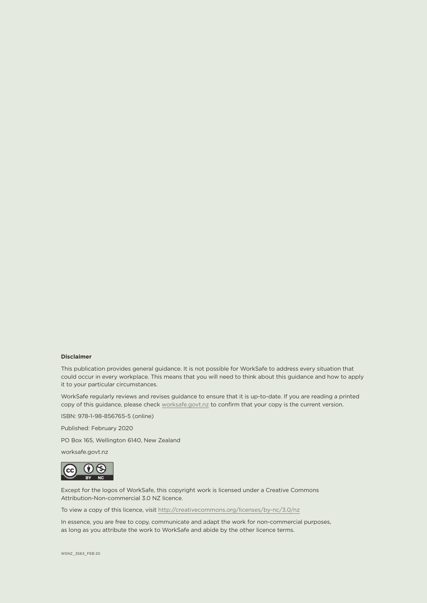#### **Disclaimer**

This publication provides general guidance. It is not possible for WorkSafe to address every situation that could occur in every workplace. This means that you will need to think about this guidance and how to apply it to your particular circumstances.

WorkSafe regularly reviews and revises guidance to ensure that it is up-to-date. If you are reading a printed copy of this guidance, please check [worksafe.govt.nz](http://worksafe.govt.nz) to confirm that your copy is the current version.

ISBN: 978-1-98-856765-5 (online)

Published: February 2020

PO Box 165, Wellington 6140, New Zealand

worksafe.govt.nz



Except for the logos of WorkSafe, this copyright work is licensed under a Creative Commons Attribution-Non-commercial 3.0 NZ licence.

To view a copy of this licence, visit <http://creativecommons.org/licenses/by-nc/3.0/nz>

In essence, you are free to copy, communicate and adapt the work for non-commercial purposes, as long as you attribute the work to WorkSafe and abide by the other licence terms.